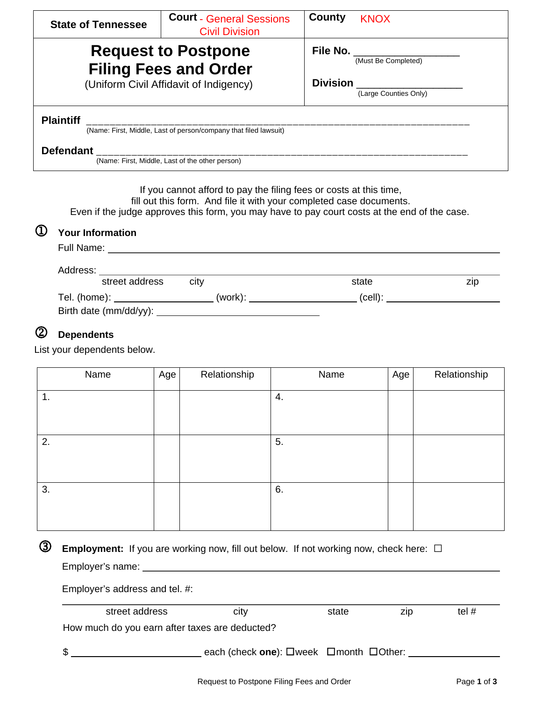| <b>State of Tennessee</b> | <b>Court - General Sessions</b><br><b>Civil Division</b>         | County          | <b>KNOX</b>           |
|---------------------------|------------------------------------------------------------------|-----------------|-----------------------|
|                           | <b>Request to Postpone</b><br><b>Filing Fees and Order</b>       | File No.        | (Must Be Completed)   |
|                           | (Uniform Civil Affidavit of Indigency)                           | <b>Division</b> | (Large Counties Only) |
| <b>Plaintiff</b>          | (Name: First, Middle, Last of person/company that filed lawsuit) |                 |                       |
| <b>Defendant</b>          | (Name: First, Middle, Last of the other person)                  |                 |                       |

If you cannot afford to pay the filing fees or costs at this time,

fill out this form. And file it with your completed case documents. Even if the judge approves this form, you may have to pay court costs at the end of the case.

# **Your Information**

| Full Name: |                                    | <u> 1980 - Jan Sterling Sterling, amerikansk politiker (d. 1980)</u> |         |     |
|------------|------------------------------------|----------------------------------------------------------------------|---------|-----|
| Address:   |                                    |                                                                      |         |     |
|            | street address                     | city                                                                 | state   | zip |
|            | Tel. (home): _____________________ | (work):                                                              | (cell): |     |
|            |                                    |                                                                      |         |     |

## **Dependents**

List your dependents below.

| Name          | Age | Relationship | Name | Age | Relationship |
|---------------|-----|--------------|------|-----|--------------|
| $\mathbf 1$ . |     |              | 4.   |     |              |
|               |     |              |      |     |              |
| 2.            |     |              | 5.   |     |              |
|               |     |              |      |     |              |
| 3.            |     |              | 6.   |     |              |
|               |     |              |      |     |              |
|               |     |              |      |     |              |

**3** Employment: If you are working now, fill out below. If not working now, check here:  $\Box$ Employer's name:

Employer's address and tel. #:

| street address                                 | city                                                     | state | ZID. | tel $#$ |
|------------------------------------------------|----------------------------------------------------------|-------|------|---------|
| How much do you earn after taxes are deducted? |                                                          |       |      |         |
|                                                | each (check one): $\Box$ week $\Box$ month $\Box$ Other: |       |      |         |
|                                                |                                                          |       |      |         |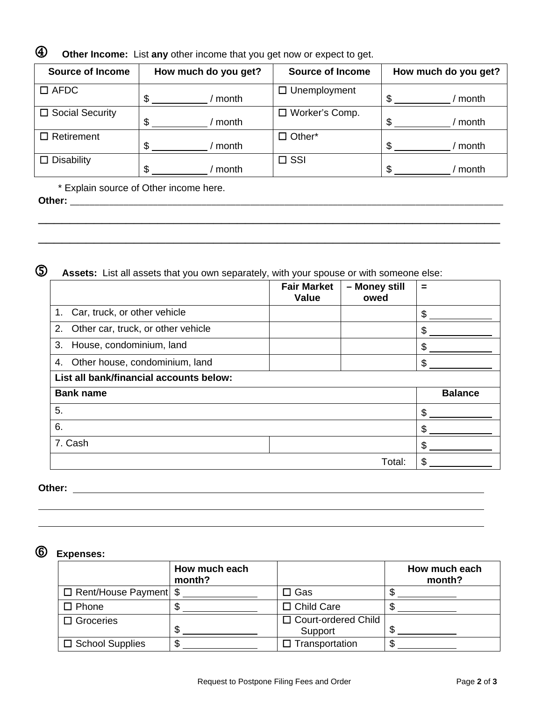**Other Income:** List **any** other income that you get now or expect to get.

| <b>Source of Income</b> | How much do you get? | <b>Source of Income</b> | How much do you get? |
|-------------------------|----------------------|-------------------------|----------------------|
| $\square$ AFDC          | month<br>S           | Unemployment<br>□       | \$<br>month          |
| □ Social Security       | S<br>month           | Worker's Comp.<br>□     | \$<br>month          |
| $\Box$ Retirement       | \$.<br>month         | $\Box$ Other*           | \$<br>month          |
| $\Box$ Disability       | \$.<br>month         | $\square$ SSI           | \$<br>month          |

 $\overline{\phantom{a}}$  , and the contract of the contract of the contract of the contract of the contract of the contract of the contract of the contract of the contract of the contract of the contract of the contract of the contrac

 $\overline{\phantom{a}}$  , and the contract of the contract of the contract of the contract of the contract of the contract of the contract of the contract of the contract of the contract of the contract of the contract of the contrac

\* Explain source of Other income here.

**Other:** \_\_\_\_\_\_\_\_\_\_\_\_\_\_\_\_\_\_\_\_\_\_\_\_\_\_\_\_\_\_\_\_\_\_\_\_\_\_\_\_\_\_\_\_\_\_\_\_\_\_\_\_\_\_\_\_\_\_\_\_\_\_\_\_\_\_\_\_\_\_\_\_\_\_\_\_\_\_\_\_\_\_\_\_\_\_\_\_\_

**Assets:** List all assets that you own separately, with your spouse or with someone else:

|                                          | <b>Fair Market</b><br><b>Value</b> | - Money still<br>owed | =              |
|------------------------------------------|------------------------------------|-----------------------|----------------|
| 1. Car, truck, or other vehicle          |                                    |                       | \$             |
| Other car, truck, or other vehicle<br>2. |                                    |                       | S              |
| House, condominium, land<br>3.           |                                    |                       | S              |
| Other house, condominium, land<br>4.     |                                    |                       | \$             |
| List all bank/financial accounts below:  |                                    |                       |                |
| <b>Bank name</b>                         |                                    |                       | <b>Balance</b> |
| 5.                                       |                                    |                       | \$             |
| 6.                                       |                                    |                       | \$             |
| 7. Cash                                  |                                    |                       | \$             |
|                                          |                                    | Total:                | \$             |

**Other:** 

# **Expenses:**

|                               | How much each<br>month? |                                  | How much each<br>month? |
|-------------------------------|-------------------------|----------------------------------|-------------------------|
| $\Box$ Rent/House Payment $\$ |                         | J Gas                            |                         |
| □ Phone                       | Φ                       | $\Box$ Child Care                |                         |
| $\Box$ Groceries              | \$                      | □ Court-ordered Child<br>Support |                         |
| $\Box$ School Supplies        | \$.                     | Transportation                   |                         |